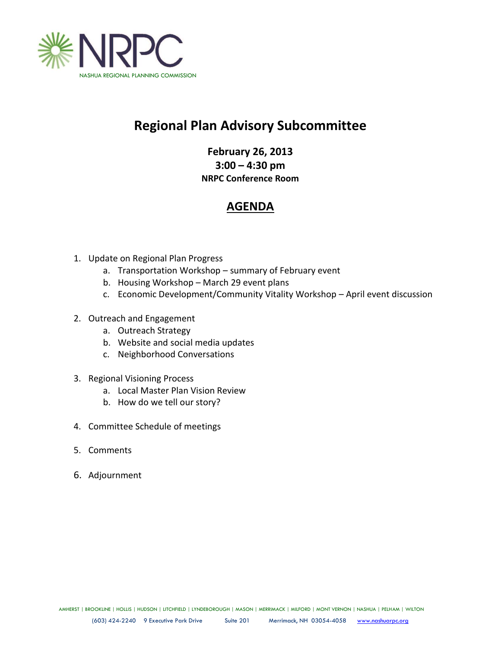

# **Regional Plan Advisory Subcommittee**

**February 26, 2013 3:00 – 4:30 pm NRPC Conference Room**

## **AGENDA**

- 1. Update on Regional Plan Progress
	- a. Transportation Workshop summary of February event
	- b. Housing Workshop March 29 event plans
	- c. Economic Development/Community Vitality Workshop April event discussion
- 2. Outreach and Engagement
	- a. Outreach Strategy
	- b. Website and social media updates
	- c. Neighborhood Conversations
- 3. Regional Visioning Process
	- a. Local Master Plan Vision Review
	- b. How do we tell our story?
- 4. Committee Schedule of meetings
- 5. Comments
- 6. Adjournment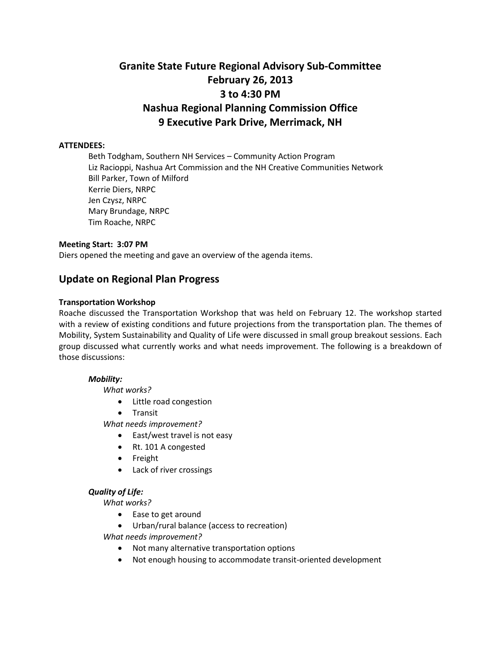## **Granite State Future Regional Advisory Sub-Committee February 26, 2013 3 to 4:30 PM Nashua Regional Planning Commission Office 9 Executive Park Drive, Merrimack, NH**

#### **ATTENDEES:**

Beth Todgham, Southern NH Services – Community Action Program Liz Racioppi, Nashua Art Commission and the NH Creative Communities Network Bill Parker, Town of Milford Kerrie Diers, NRPC Jen Czysz, NRPC Mary Brundage, NRPC Tim Roache, NRPC

#### **Meeting Start: 3:07 PM**

Diers opened the meeting and gave an overview of the agenda items.

### **Update on Regional Plan Progress**

#### **Transportation Workshop**

Roache discussed the Transportation Workshop that was held on February 12. The workshop started with a review of existing conditions and future projections from the transportation plan. The themes of Mobility, System Sustainability and Quality of Life were discussed in small group breakout sessions. Each group discussed what currently works and what needs improvement. The following is a breakdown of those discussions:

#### *Mobility:*

*What works?*

- Little road congestion
- **•** Transit

*What needs improvement?*

- East/west travel is not easy
- Rt. 101 A congested
- Freight
- Lack of river crossings

#### *Quality of Life:*

*What works?*

- Ease to get around
- Urban/rural balance (access to recreation)

*What needs improvement?*

- Not many alternative transportation options
- Not enough housing to accommodate transit-oriented development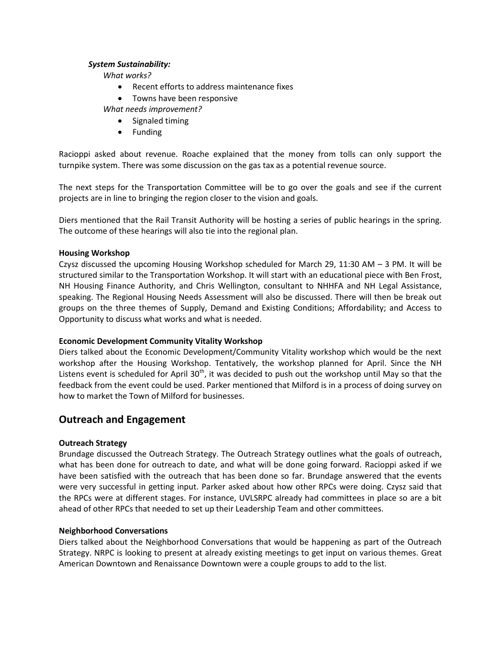#### *System Sustainability:*

*What works?*

- Recent efforts to address maintenance fixes
- Towns have been responsive

*What needs improvement?*

- Signaled timing
- Funding

Racioppi asked about revenue. Roache explained that the money from tolls can only support the turnpike system. There was some discussion on the gas tax as a potential revenue source.

The next steps for the Transportation Committee will be to go over the goals and see if the current projects are in line to bringing the region closer to the vision and goals.

Diers mentioned that the Rail Transit Authority will be hosting a series of public hearings in the spring. The outcome of these hearings will also tie into the regional plan.

#### **Housing Workshop**

Czysz discussed the upcoming Housing Workshop scheduled for March 29, 11:30 AM – 3 PM. It will be structured similar to the Transportation Workshop. It will start with an educational piece with Ben Frost, NH Housing Finance Authority, and Chris Wellington, consultant to NHHFA and NH Legal Assistance, speaking. The Regional Housing Needs Assessment will also be discussed. There will then be break out groups on the three themes of Supply, Demand and Existing Conditions; Affordability; and Access to Opportunity to discuss what works and what is needed.

#### **Economic Development Community Vitality Workshop**

Diers talked about the Economic Development/Community Vitality workshop which would be the next workshop after the Housing Workshop. Tentatively, the workshop planned for April. Since the NH Listens event is scheduled for April 30<sup>th</sup>, it was decided to push out the workshop until May so that the feedback from the event could be used. Parker mentioned that Milford is in a process of doing survey on how to market the Town of Milford for businesses.

### **Outreach and Engagement**

#### **Outreach Strategy**

Brundage discussed the Outreach Strategy. The Outreach Strategy outlines what the goals of outreach, what has been done for outreach to date, and what will be done going forward. Racioppi asked if we have been satisfied with the outreach that has been done so far. Brundage answered that the events were very successful in getting input. Parker asked about how other RPCs were doing. Czysz said that the RPCs were at different stages. For instance, UVLSRPC already had committees in place so are a bit ahead of other RPCs that needed to set up their Leadership Team and other committees.

#### **Neighborhood Conversations**

Diers talked about the Neighborhood Conversations that would be happening as part of the Outreach Strategy. NRPC is looking to present at already existing meetings to get input on various themes. Great American Downtown and Renaissance Downtown were a couple groups to add to the list.